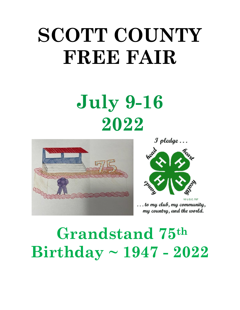# **SCOTT COUNTY FREE FAIR**

# **July 9-16 2022**



 $\mathcal I$  pledge  $\ldots$ 



. to my club, my community, my country, and the world.

# **Grandstand 75th Birthday ~ 1947 - 2022**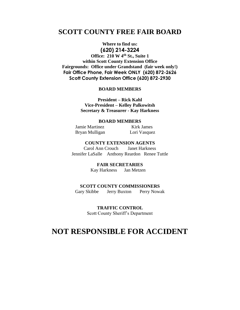# **SCOTT COUNTY FREE FAIR BOARD**

#### **Where to find us:**

#### **(620) 214-3224**

**Office: 210 W 4th St., Suite 1 within Scott County Extension Office Fairgrounds: Office under Grandstand (fair week only!) Fair Office Phone, Fair Week ONLY (620) 872-2626 Scott County Extension Office (620) 872-2930**

#### **BOARD MEMBERS**

**President – Rick Kahl Vice-President – Kelley Palkowitsh Secretary & Treasurer - Kay Harkness**

#### **BOARD MEMBERS**

Jamie Martinez Kirk James Bryan Mulligan Lori Vasquez

**COUNTY EXTENSION AGENTS** Carol Ann Crouch Janet Harkness Jennifer LaSalle Anthony Reardon Renee Tuttle

> **FAIR SECRETARIES** Kay Harkness Jan Metzen

#### **SCOTT COUNTY COMMISSIONERS**

Gary Skibbe Jerry BuxtonPerry Nowak

**TRAFFIC CONTROL**

Scott County Sheriff's Department

# **NOT RESPONSIBLE FOR ACCIDENT**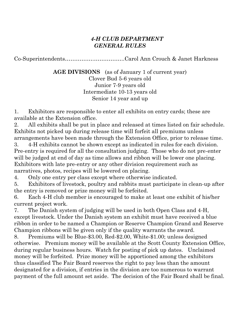## *4-H CLUB DEPARTMENT GENERAL RULES*

Co-Superintendents…………….……………..Carol Ann Crouch & Janet Harkness

**AGE DIVISIONS** (as of January 1 of current year) Clover Bud 5-6 years old Junior 7-9 years old Intermediate 10-13 years old Senior 14 year and up

1. Exhibitors are responsible to enter all exhibits on entry cards; these are available at the Extension office.

2. All exhibits shall be put in place and released at times listed on fair schedule. Exhibits not picked up during release time will forfeit all premiums unless arrangements have been made through the Extension Office, prior to release time.

3. 4-H exhibits cannot be shown except as indicated in rules for each division. Pre-entry is required for all the consultation judging. Those who do not pre-enter will be judged at end of day as time allows and ribbon will be lower one placing. Exhibitors with late pre-entry or any other division requirement such as narratives, photos, recipes will be lowered on placing.

4. Only one entry per class except where otherwise indicated.

5. Exhibitors of livestock, poultry and rabbits must participate in clean-up after the entry is removed or prize money will be forfeited.

6. Each 4-H club member is encouraged to make at least one exhibit of his/her current project work.

7. The Danish system of judging will be used in both Open Class and 4-H, except livestock. Under the Danish system an exhibit must have received a blue ribbon in order to be named a Champion or Reserve Champion Grand and Reserve Champion ribbons will be given only if the quality warrants the award.

8. Premiums will be Blue-\$3.00, Red-\$2.00, White-\$1.00; unless designed otherwise. Premium money will be available at the Scott County Extension Office, during regular business hours. Watch for posting of pick up dates. Unclaimed money will be forfeited. Prize money will be apportioned among the exhibitors thus classified The Fair Board reserves the right to pay less than the amount designated for a division, if entries in the division are too numerous to warrant payment of the full amount set aside. The decision of the Fair Board shall be final.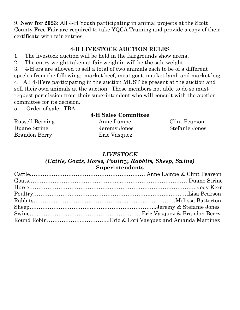9. **New for 2023**: All 4-H Youth participating in animal projects at the Scott County Free Fair are required to take YQCA Training and provide a copy of their certificate with fair entries.

#### **4-H LIVESTOCK AUCTION RULES**

- 1. The livestock auction will be held in the fairgrounds show arena.
- 2. The entry weight taken at fair weigh in will be the sale weight.

3. 4-H'ers are allowed to sell a total of two animals each to be of a different species from the following: market beef, meat goat, market lamb and market hog. 4. All 4-H'ers participating in the auction MUST be present at the auction and sell their own animals at the auction. Those members not able to do so must request permission from their superintendent who will consult with the auction committee for its decision.

5. Order of sale: TBA

# **4-H Sales Committee**

Brandon Berry Eric Vasquez

Russell Berning Anne Lampe Clint Pearson Duane Strine Jeremy Jones Stefanie Jones

#### *LIVESTOCK*

#### *(Cattle, Goats, Horse, Poultry, Rabbits, Sheep, Swine)* **Superintendents**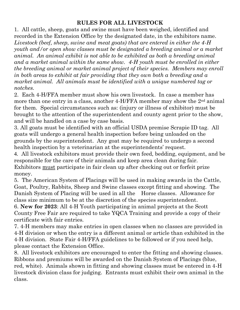# **RULES FOR ALL LIVESTOCK**

1. All cattle, sheep, goats and swine must have been weighed, identified and recorded in the Extension Office by the designated date, in the exhibitors name. *Livestock (beef, sheep, swine and meat goats) that are entered in either the 4-H youth and/or open show classes must be designated a breeding animal or a market animal. An animal exhibit is not able to be exhibited as both a breeding animal and a market animal within the same show. 4-H youth must be enrolled in either the breeding animal or market animal project of their species. Members may enroll in both areas to exhibit at fair providing that they own both a breeding and a market animal. All animals must be identified with a unique numbered tag or notches.*

2. Each 4-H/FFA member must show his own livestock. In case a member has more than one entry in a class, another 4-H/FFA member may show the 2<sup>nd</sup> animal for them. Special circumstances such as: (injury or illness of exhibitor) must be brought to the attention of the superintendent and county agent prior to the show, and will be handled on a case by case basis.

3. All goats must be identified with an official USDA premise Scrapie ID tag. All goats will undergo a general health inspection before being unloaded on the grounds by the superintendent. Any goat may be required to undergo a second health inspection by a veterinarian at the superintendents' request.

4. All livestock exhibitors must provide their own feed, bedding, equipment, and be responsible for the care of their animals and keep area clean during fair. Exhibitors must participate in fair clean up after checking out or forfeit prize money.

5. The American System of Placings will be used in making awards in the Cattle, Goat, Poultry, Rabbits, Sheep and Swine classes except fitting and showing. The Danish System of Placing will be used in all the Horse classes. Allowance for class size minimum to be at the discretion of the species superintendent.

6. **New for 2023**: All 4-H Youth participating in animal projects at the Scott County Free Fair are required to take YQCA Training and provide a copy of their certificate with fair entries.

7. 4-H members may make entries in open classes when no classes are provided in 4-H division or when the entry is a different animal or article than exhibited in the 4-H division. State Fair 4-H/FFA guidelines to be followed or if you need help, please contact the Extension Office.

8. All livestock exhibitors are encouraged to enter the fitting and showing classes. Ribbons and premiums will be awarded on the Danish System of Placings (blue, red, white). Animals shown in fitting and showing classes must be entered in 4-H livestock division class for judging. Entrants must exhibit their own animal in the class.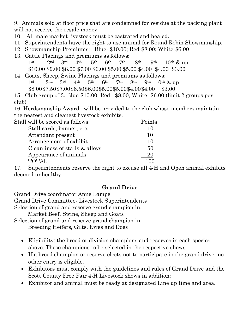9. Animals sold at floor price that are condemned for residue at the packing plant will not receive the resale money.

- 10. All male market livestock must be castrated and healed.
- 11. Superintendents have the right to use animal for Round Robin Showmanship.
- 12. Showmanship Premiums: Blue- \$10.00; Red-\$8.00; White-\$6.00
- 13. Cattle Placings and premiums as follows: 1st 2nd 3rd 4th 5th 6th 7th 8th 9th 10th  $\&$  up
	- \$10.00 \$9.00 \$8.00 \$7.00 \$6.00 \$5.00 \$5.00 \$4.00 \$4.00 \$3.00
- 14. Goats, Sheep, Swine Placings and premiums as follows: 1st  $2^{\text{nd}}$  3rd  $4^{\text{th}}$  5<sup>th</sup> 6<sup>th</sup> 7<sup>th</sup> 8<sup>th</sup> 9<sup>th</sup> 10<sup>th</sup> & up \$8.00\$7.50\$7.00\$6.50\$6.00\$5.00\$5.00\$4.00\$4.00 \$3.00

15. Club group of 3. Blue-\$10.00, Red - \$8.00, White -\$6.00 (limit 2 groups per club)

16. Herdsmanship Award– will be provided to the club whose members maintain the neatest and cleanest livestock exhibits.

| Stall will be scored as follows: | Points |
|----------------------------------|--------|
| Stall cards, banner, etc.        | 10     |
| Attendant present                | 10     |
| Arrangement of exhibit           | 10     |
| Cleanliness of stalls & alleys   | 50     |
| Appearance of animals            | 20     |
| <b>TOTAL</b>                     |        |

17. Superintendents reserve the right to excuse all 4-H and Open animal exhibits deemed unhealthy

# **Grand Drive**

Grand Drive coordinator Anne Lampe

Grand Drive Committee- Livestock Superintendents

Selection of grand and reserve grand champion in:

Market Beef, Swine, Sheep and Goats

Selection of grand and reserve grand champion in:

Breeding Heifers, Gilts, Ewes and Does

- Eligibility: the breed or division champions and reserves in each species above. These champions to be selected in the respective shows.
- If a breed champion or reserve elects not to participate in the grand drive- no other entry is eligible.
- Exhibitors must comply with the guidelines and rules of Grand Drive and the Scott County Free Fair 4-H Livestock shows in addition:
- Exhibitor and animal must be ready at designated Line up time and area.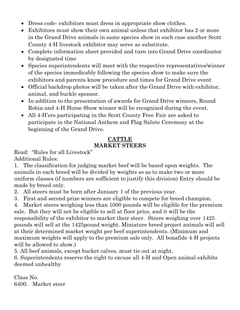- Dress code-exhibitors must dress in appropriate show clothes.
- Exhibitors must show their own animal unless that exhibitor has 2 or more in the Grand Drive animals in same species show in such case another Scott County 4-H livestock exhibitor may serve as substitute.
- Complete information sheet provided and turn into Grand Drive coordinator by designated time
- Species superintendents will meet with the respective representatives/winner of the species immedicably following the species show to make sure the exhibitors and parents know procedure and times for Grand Drive event
- Official backdrop photos will be taken after the Grand Drive with exhibitor, animal, and buckle sponsor.
- In addition to the presentation of awards for Grand Drive winners, Round Robin and 4-H Horse Show winner will be recognized during the event.
- All 4-H'ers participating in the Scott County Free Fair are asked to participate in the National Anthem and Flag Salute Ceremony at the beginning of the Grand Drive.

### **CATTLE MARKET STEERS**

Read: "Rules for all Livestock" Additional Rules:

1. The classification for judging market beef will be based upon weights. The animals in each breed will be divided by weights so as to make two or more uniform classes (if numbers are sufficient to justify this division) Entry should be made by breed only.

2. All steers must be born after January 1 of the previous year.

3. First and second prize winners are eligible to compete for breed champion.

4. Market steers weighing less than 1000 pounds will be eligible for the premium sale. But they will not be eligible to sell at floor price, and it will be the responsibility of the exhibitor to market their steer. Steers weighing over 1425 pounds will sell at the 1425pound weight. Miniature breed project animals will sell at their determined market weight per beef superintendents. (Minimum and maximum weights will apply to the premium sale only. All bonafide 4-H projects will be allowed to show.)

5. All beef animals, except bucket calves, must tie out at night.

6. Superintendents reserve the right to excuse all 4-H and Open animal exhibits deemed unhealthy

Class No. 6400. Market steer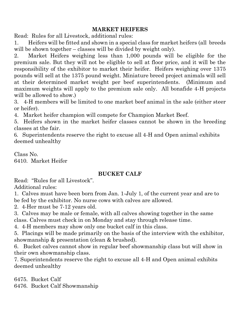## **MARKET HEIFERS**

Read: Rules for all Livestock, additional rules:

1. Heifers will be fitted and shown in a special class for market heifers (all breeds will be shown together – classes will be divided by weight only).

2. Market Heifers weighing less than 1,000 pounds will be eligible for the premium sale. But they will not be eligible to sell at floor price, and it will be the responsibility of the exhibitor to market their heifer. Heifers weighing over 1375 pounds will sell at the 1375 pound weight. Miniature breed project animals will sell at their determined market weight per beef superintendents. (Minimum and maximum weights will apply to the premium sale only. All bonafide 4-H projects will be allowed to show.)

3. 4-H members will be limited to one market beef animal in the sale (either steer or heifer).

4. Market heifer champion will compete for Champion Market Beef.

5. Heifers shown in the market heifer classes cannot be shown in the breeding classes at the fair.

6. Superintendents reserve the right to excuse all 4-H and Open animal exhibits deemed unhealthy

Class No. 6410. Market Heifer

# **BUCKET CALF**

Read: "Rules for all Livestock".

Additional rules:

1. Calves must have been born from Jan. 1-July 1, of the current year and are to be fed by the exhibitor. No nurse cows with calves are allowed.

2. 4-Her must be 7-12 years old.

3. Calves may be male or female, with all calves showing together in the same class. Calves must check in on Monday and stay through release time.

4. 4-H members may show only one bucket calf in this class.

5. Placings will be made primarily on the basis of the interview with the exhibitor, showmanship & presentation (clean & brushed).

6. Bucket calves cannot show in regular beef showmanship class but will show in their own showmanship class.

7. Superintendents reserve the right to excuse all 4-H and Open animal exhibits deemed unhealthy

6475. Bucket Calf

6476. Bucket Calf Showmanship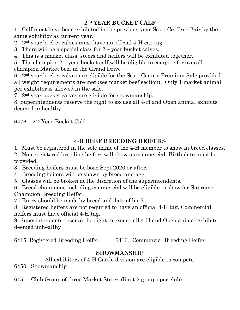# **2nd YEAR BUCKET CALF**

1. Calf must have been exhibited in the previous year Scott Co. Free Fair by the same exhibitor as current year.

2. 2nd year bucket calves must have an official 4-H ear tag.

3. There will be a special class for  $2<sup>nd</sup>$  year bucket calves.

4. This is a market class, steers and heifers will be exhibited together.

5. The champion 2nd year bucket calf will be eligible to compete for overall

champion Market beef in the Grand Drive

6. 2nd year bucket calves are eligible for the Scott County Premium Sale provided all weight requirements are met (see market beef section). Only 1 market animal per exhibitor is allowed in the sale.

7. 2nd year bucket calves are eligible for showmanship.

8. Superintendents reserve the right to excuse all 4-H and Open animal exhibits deemed unhealthy

6476. 2nd Year Bucket Calf

# **4-H BEEF BREEDING HEIFERS**

1. Must be registered in the sole name of the 4-H member to show in breed classes.

2. Non-registered breeding heifers will show as commercial. Birth date must be provided.

3. Breeding heifers must be born Sept 2020 or after.

4. Breeding heifers will be shown by breed and age.

5. Classes will be broken at the discretion of the superintendents.

6. Breed champions including commercial will be eligible to show for Supreme Champion Breeding Heifer.

7. Entry should be made by breed and date of birth.

8. Registered heifers are not required to have an official 4-H tag. Commercial heifers must have official 4-H tag.

9. Superintendents reserve the right to excuse all 4-H and Open animal exhibits deemed unhealthy

6415. Registered Breeding Heifer 6416. Commercial Breeding Heifer

# **SHOWMANSHIP**

All exhibitors of 4-H Cattle division are eligible to compete.

6450. Showmanship

6451. Club Group of three Market Steers (limit 2 groups per club)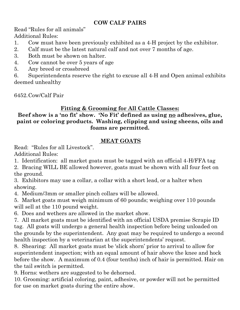# **COW CALF PAIRS**

Read "Rules for all animals" Additional Rules:

- 1. Cow must have been previously exhibited as a 4-H project by the exhibitor.
- 2. Calf must be the latest natural calf and not over 7 months of age.
- 3. Both must be shown on halter.
- 4. Cow cannot be over 5 years of age
- 5. Any breed or crossbreed

6. Superintendents reserve the right to excuse all 4-H and Open animal exhibits deemed unhealthy

6452.Cow/Calf Pair

# **Fitting & Grooming for All Cattle Classes:**

# **Beef show is a 'no fit' show. 'No Fit' defined as using no adhesives, glue, paint or coloring products. Washing, clipping and using sheens, oils and foams are permitted.**

# **MEAT GOATS**

Read: "Rules for all Livestock".

Additional Rules:

1. Identification: all market goats must be tagged with an official 4-H/FFA tag

2. Bracing WILL BE allowed however, goats must be shown with all four feet on the ground.

3. Exhibitors may use a collar, a collar with a short lead, or a halter when showing.

4. Medium/3mm or smaller pinch collars will be allowed.

5. Market goats must weigh minimum of 60 pounds; weighing over 110 pounds will sell at the 110 pound weight.

6. Does and wethers are allowed in the market show.

7. All market goats must be identified with an official USDA premise Scrapie ID tag. All goats will undergo a general health inspection before being unloaded on the grounds by the superintendent. Any goat may be required to undergo a second health inspection by a veterinarian at the superintendents' request.

8. Shearing: All market goats must be 'slick shorn' prior to arrival to allow for superintendent inspection; with an equal amount of hair above the knee and hock before the show. A maximum of 0.4 (four tenths) inch of hair is permitted. Hair on the tail switch is permitted.

9. Horns: wethers are suggested to be dehorned.

10. Grooming: artificial coloring, paint, adhesive, or powder will not be permitted for use on market goats during the entire show.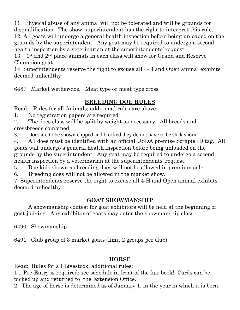11. Physical abuse of any animal will not be tolerated and will be grounds for disqualification. The show superintendent has the right to interpret this rule. 12. All goats will undergo a general health inspection before being unloaded on the grounds by the superintendent. Any goat may be required to undergo a second health inspection by a veterinarian at the superintendents' request.

13. 1<sup>st</sup> and  $2<sup>nd</sup>$  place animals in each class will show for Grand and Reserve Champion goat.

14. Superintendents reserve the right to excuse all 4-H and Open animal exhibits deemed unhealthy

6487. Market wether/doe. Meat type or meat type cross

# **BREEDING DOE RULES**

Read: Rules for all Animals; additional rules are above:

1. No registration papers are required.

2. The does class will be split by weight as necessary. All breeds and crossbreeds combined.

3. Does are to be shown clipped and blocked they do not have to be slick shorn

4. All does must be identified with an official USDA premise Scrapie ID tag. All goats will undergo a general health inspection before being unloaded on the grounds by the superintendent. Any goat may be required to undergo a second health inspection by a veterinarian at the superintendents' request.

5. Doe kids shown as breeding does will not be allowed in premium sale.

6. Breeding does will not be allowed in the market show.

7. Superintendents reserve the right to excuse all 4-H and Open animal exhibits deemed unhealthy

# **GOAT SHOWMANSHIP**

A showmanship contest for goat exhibitors will be held at the beginning of goat judging. Any exhibitor of goats may enter the showmanship class.

6490. Showmanship

6491. Club group of 3 market goats (limit 2 groups per club)

# **HORSE**

Read: Rules for all Livestock; additional rules:

1 . Pre-Entry is required; see schedule in front of the fair book! Cards can be picked up and returned to the Extension Office.

2. The age of horse is determined as of January 1, in the year in which it is born.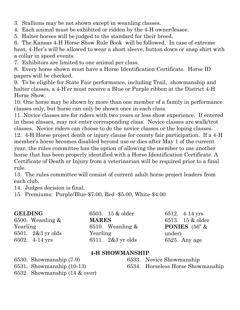3. Stallions may be not shown except in weanling classes.

4. Each animal must be exhibited or ridden by the 4-H owner/lessee.

5. Halter horses will be judged to the standard for their breed.

6. The Kansas 4-H Horse Show Rule Book will be followed. In case of extreme heat, 4-Her's will be allowed to wear a short sleeve, button down or snap shirt with a collar in speed events.

7. Exhibitors are limited to one animal per class.

8. Every horse shown must have a Horse Identification Certificate. Horse ID papers will be checked.

9. To be eligible for State Fair performance, including Trail, showmanship and halter classes, a 4-H'er must receive a Blue or Purple ribbon at the District 4-H Horse Show.

10. One horse may be shown by more than one member of a family in performance classes only, but horse can only be shown once in each class.

11. Novice classes are for riders with two years or less show experience. If entered in these classes, may not enter corresponding class. Novice classes are walk/trot classes. Novice riders can choose to do the novice classes or the loping classes.

12. 4-H Horse project death or injury clause for county fair participation. If a 4-H member's horse becomes disabled beyond use or dies after May 1 of the current year, the rules committee has the option of allowing the member to use another horse that has been properly identified with a Horse Identification Certificate. A Certificate of Death or Injury from a veterinarian will be required prior to a final rule.

13. The rules committee will consist of current adult horse project leaders from each club.

14. Judges decision is final.

15. Premiums: Purple/Blue-\$7.00, Red -\$5.00, White-\$4.00

| <b>GELDING</b>      | 6503. 15 & older    | 6512. 4-14 yrs         |
|---------------------|---------------------|------------------------|
| 6500. Weanling $\&$ | <b>MARES</b>        | 6513. 15 & older       |
| Yearling            | 6510. Weanling $&$  | <b>PONIES</b> $(56"$ & |
| 6501. 2&3 yr olds   | Yearling            | under)                 |
| 6502. 4-14 yrs      | 6511. $2&3$ yr olds | $6525.$ Any age        |

#### **4-H SHOWMANSHIP**

6530. Showmanship (7-9)

6531. Showmanship (10-13)

6532. Showmanship (14 & over)

6533. Novice Showmanship 6534. Horseless Horse Showmanship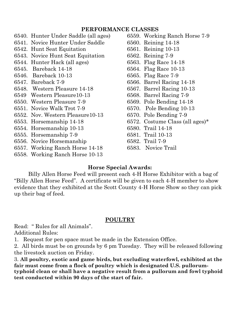#### **PERFORMANCE CLASSES**

- 6540. Hunter Under Saddle (all ages) 6541. Novice Hunter Under Saddle 6542. Hunt Seat Equitation 6543. Novice Hunt Seat Equitation 6544. Hunter Hack (all ages) 6545. Bareback 14-18 6546. Bareback 10-13 6547. Bareback 7-9 6548. Western Pleasure 14-18 6549 Western Pleasure10-13 6550. Western Pleasure 7-9 6551. Novice Walk Trot 7-9 6552. Nov. Western Pleasure10-13 6553. Horsemanship 14-18 6554. Horsemanship 10-13 6555. Horsemanship 7-9 6556. Novice Horsemanship 6557. Working Ranch Horse 14-18
- 6558. Working Ranch Horse 10-13
- 6559. Working Ranch Horse 7-9 6560. Reining 14-18 6561. Reining 10-13 6562. Reining 7-9 6563. Flag Race 14-18 6564. Flag Race 10-13 6565. Flag Race 7-9 6566. Barrel Racing 14-18 6567. Barrel Racing 10-13 6568. Barrel Racing 7-9 6569. Pole Bending 14-18 6570. Pole Bending 10-13 6570. Pole Bending 7-9 6572. Costume Class (all ages)\* 6580. Trail 14-18 6581. Trail 10-13 6582. Trail 7-9 6583. Novice Trail

#### **Horse Special Awards:**

Billy Allen Horse Feed will present each 4-H Horse Exhibitor with a bag of "Billy Allen Horse Feed". A certificate will be given to each 4-H member to show evidence that they exhibited at the Scott County 4-H Horse Show so they can pick up their bag of feed.

#### **POULTRY**

Read: " Rules for all Animals". Additional Rules:

1. Request for pen space must be made in the Extension Office.

2. All birds must be on grounds by 6 pm Tuesday. They will be released following the livestock auction on Friday.

3. **All poultry, exotic and game birds, but excluding waterfowl, exhibited at the fair must come from a flock of poultry which is designated U.S. pullorumtyphoid clean or shall have a negative result from a pullorum and fowl typhoid test conducted within 90 days of the start of fair.**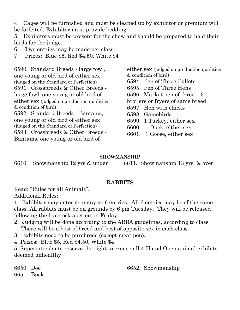4. Cages will be furnished and must be cleaned up by exhibitor or premium will be forfeited. Exhibitor must provide bedding.

5. Exhibitors must be present for the show and should be prepared to hold their birds for the judge.

6. Two entries may be made per class.

7. Prizes: Blue \$5, Red \$4.50, White \$4

6590. Standard Breeds - large fowl, one young or old bird of either sex (judged on the Standard of Perfection) 6591. Crossbreeds & Other Breeds large fowl, one young or old bird of either sex (judged on production qualities & condition of bird) 6592. Standard Breeds - Bantams, one young or old bird of either sex (judged on the Standard of Perfection) 6593. Crossbreeds & Other Breeds - Bantams, one young or old bird of

either sex (judged on production qualities & condition of bird) 6594. Pen of Three Pullets 6595. Pen of Three Hens 6596. Market pen of three – 3 broilers or fryers of same breed 6597. Hen with chicks 6598. Gamebirds 6599. 1 Turkey, either sex 6600. 1 Duck, either sex

6601. 1 Goose, either sex

#### **SHOWMANSHIP**

6610. Showmanship 12 yrs & under 6611. Showmanship 13 yrs. & over

#### **RABBITS**

Read: "Rules for all Animals". Additional Rules:

1. Exhibitor may enter as many as 6 entries. All 6 entries may be of the same class. All rabbits must be on grounds by 6 pm Tuesday. They will be released following the livestock auction on Friday.

2. Judging will be done according to the ARBA guidelines, according to class. There will be a best of breed and best of opposite sex in each class.

3. Exhibits need to be purebreds (except meat pen).

4. Prizes: Blue \$5, Red \$4.50, White \$4

5. Superintendents reserve the right to excuse all 4-H and Open animal exhibits deemed unhealthy

6650. Doe 6651. Buck 6652. Showmanship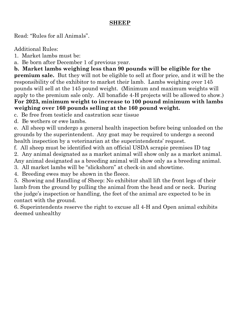### **SHEEP**

Read: "Rules for all Animals".

Additional Rules:

1. Market lambs must be:

a. Be born after December 1 of previous year.

**b. Market lambs weighing less than 90 pounds will be eligible for the premium sale.** But they will not be eligible to sell at floor price, and it will be the responsibility of the exhibitor to market their lamb. Lambs weighing over 145 pounds will sell at the 145 pound weight. (Minimum and maximum weights will apply to the premium sale only. All bonafide 4-H projects will be allowed to show.) **For 2023, minimum weight to increase to 100 pound minimum with lambs weighing over 160 pounds selling at the 160 pound weight.**

c. Be free from testicle and castration scar tissue

d. Be wethers or ewe lambs.

e. All sheep will undergo a general health inspection before being unloaded on the grounds by the superintendent. Any goat may be required to undergo a second health inspection by a veterinarian at the superintendents' request.

f. All sheep must be identified with an official USDA scrapie premises ID tag

2. Any animal designated as a market animal will show only as a market animal. Any animal designated as a breeding animal will show only as a breeding animal.

3. All market lambs will be "slickshorn" at check-in and showtime.

4. Breeding ewes may be shown in the fleece.

5. Showing and Handling of Sheep: No exhibitor shall lift the front legs of their lamb from the ground by pulling the animal from the head and or neck. During the judge's inspection or handling, the feet of the animal are expected to be in contact with the ground.

6. Superintendents reserve the right to excuse all 4-H and Open animal exhibits deemed unhealthy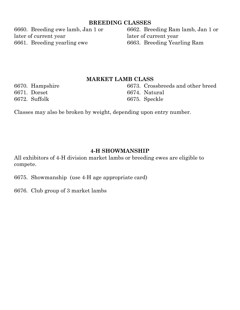#### **BREEDING CLASSES**

6660. Breeding ewe lamb, Jan 1 or later of current year 6661. Breeding yearling ewe

6662. Breeding Ram lamb, Jan 1 or later of current year 6663. Breeding Yearling Ram

#### **MARKET LAMB CLASS**

6670. Hampshire 6671. Dorset 6672. Suffolk

6673. Crossbreeds and other breed 6674. Natural 6675. Speckle

Classes may also be broken by weight, depending upon entry number.

#### **4-H SHOWMANSHIP**

All exhibitors of 4-H division market lambs or breeding ewes are eligible to compete.

6675. Showmanship (use 4-H age appropriate card)

6676. Club group of 3 market lambs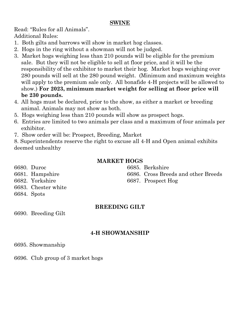#### **SWINE**

Read: "Rules for all Animals". Additional Rules:

- 1. Both gilts and barrows will show in market hog classes.
- 2. Hogs in the ring without a showman will not be judged.
- 3. Market hogs weighing less than 210 pounds will be eligible for the premium sale. But they will not be eligible to sell at floor price, and it will be the responsibility of the exhibitor to market their hog. Market hogs weighing over 280 pounds will sell at the 280 pound weight. (Minimum and maximum weights will apply to the premium sale only. All bonafide 4-H projects will be allowed to show.) **For 2023, minimum market weight for selling at floor price will be 230 pounds.**
- 4. All hogs must be declared, prior to the show, as either a market or breeding animal. Animals may not show as both.
- 5. Hogs weighing less than 210 pounds will show as prospect hogs.
- 6. Entries are limited to two animals per class and a maximum of four animals per exhibitor.
- 7. Show order will be: Prospect, Breeding, Market

8. Superintendents reserve the right to excuse all 4-H and Open animal exhibits deemed unhealthy

#### **MARKET HOGS**

6680. Duroc 6681. Hampshire 6682. Yorkshire 6683. Chester white

6684. Spots

# **BREEDING GILT**

6690. Breeding Gilt

## **4-H SHOWMANSHIP**

6695. Showmanship

6696. Club group of 3 market hogs

6685. Berkshire 6686. Cross Breeds and other Breeds 6687. Prospect Hog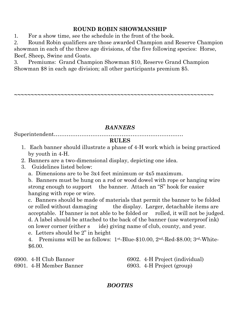# **ROUND ROBIN SHOWMANSHIP**

1. For a show time, see the schedule in the front of the book.

2. Round Robin qualifiers are those awarded Champion and Reserve Champion showman in each of the three age divisions, of the five following species: Horse, Beef, Sheep, Swine and Goats.

3. Premiums: Grand Champion Showman \$10, Reserve Grand Champion Showman \$8 in each age division; all other participants premium \$5.

**~~~~~~~~~~~~~~~~~~~~~~~~~~~~~~~~~~~~~~~~~~~~~~~~~~~~~~~~~~~~**

# *BANNERS*

Superintendent………………………………………..……………………

#### **RULES**

- 1. Each banner should illustrate a phase of 4-H work which is being practiced by youth in 4-H.
- 2. Banners are a two-dimensional display, depicting one idea.
- 3. Guidelines listed below:
	- a. Dimensions are to be 3x4 feet minimum or 4x5 maximum.

b. Banners must be hung on a rod or wood dowel with rope or hanging wire strong enough to support the banner. Attach an "S" hook for easier hanging with rope or wire.

c. Banners should be made of materials that permit the banner to be folded or rolled without damaging the display. Larger, detachable items are acceptable. If banner is not able to be folded or rolled, it will not be judged. d. A label should be attached to the back of the banner (use waterproof ink) on lower corner (either s ide) giving name of club, county, and year.

e. Letters should be 2" in height

4. Premiums will be as follows: 1st-Blue-\$10.00, 2nd-Red-\$8.00; 3rd-White- \$6.00.

6900. 4-H Club Banner 6901. 4-H Member Banner 6902. 4-H Project (individual) 6903. 4-H Project (group)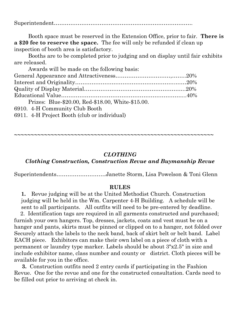Superintendent………………………………………………………………….

Booth space must be reserved in the Extension Office, prior to fair. **There is a \$20 fee to reserve the space.** The fee will only be refunded if clean up inspection of booth area is satisfactory.

Booths are to be completed prior to judging and on display until fair exhibits are released.

| Awards will be made on the following basis:         |  |
|-----------------------------------------------------|--|
|                                                     |  |
|                                                     |  |
|                                                     |  |
|                                                     |  |
| Prizes: Blue-\$20.00, Red-\$18.00, White-\$15.00.   |  |
| 6910. 4-H Community Club Booth                      |  |
| $\theta$ 0.11 A II Ducket Death (also an indicator) |  |

6911. 4-H Project Booth (club or individual)

#### *CLOTHING*

**~~~~~~~~~~~~~~~~~~~~~~~~~~~~~~~~~~~~~~~~~~~~~~~~~~~~~~~~~~~~**

## *Clothing Construction, Construction Revue and Buymanship Revue*

Superintendents………………………Janette Storm, Lisa Powelson & Toni Glenn

#### **RULES**

**1.** Revue judging will be at the United Methodist Church. Construction judging will be held in the Wm. Carpenter 4-H Building. A schedule will be sent to all participants. All outfits will need to be pre-entered by deadline.

 2. Identification tags are required in all garments constructed and purchased; furnish your own hangers. Top, dresses, jackets, coats and vest must be on a hanger and pants, skirts must be pinned or clipped on to a hanger, not folded over Securely attach the labels to the neck band, back of skirt belt or belt band. Label EACH piece. Exhibitors can make their own label on a piece of cloth with a permanent or laundry type marker. Labels should be about 3"x2.5" in size and include exhibitor name, class number and county or district. Cloth pieces will be available for you in the office.

 **3.** Construction outfits need 2 entry cards if participating in the Fashion Revue. One for the revue and one for the constructed consultation. Cards need to be filled out prior to arriving at check in.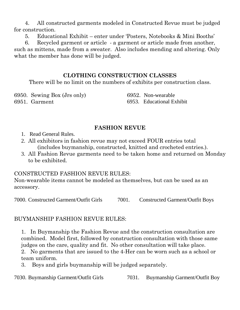4. All constructed garments modeled in Constructed Revue must be judged for construction.

5. Educational Exhibit – enter under 'Posters, Notebooks & Mini Booths'

 6. Recycled garment or article - a garment or article made from another, such as mittens, made from a sweater. Also includes mending and altering. Only what the member has done will be judged.

# **CLOTHING CONSTRUCTION CLASSES**

There will be no limit on the numbers of exhibits per construction class.

6950. Sewing Box (Jrs only) 6951. Garment

6952. Non-wearable 6953. Educational Exhibit

# **FASHION REVUE**

- 1. Read General Rules.
- 2. All exhibitors in fashion revue may not exceed FOUR entries total (includes buymanship, constructed, knitted and crocheted entries.).
- 3. All Fashion Revue garments need to be taken home and returned on Monday to be exhibited.

# CONSTRUCTED FASHION REVUE RULES:

Non-wearable items cannot be modeled as themselves, but can be used as an accessory.

7000. Constructed Garment/Outfit Girls 7001. Constructed Garment/Outfit Boys

BUYMANSHIP FASHION REVUE RULES:

1. In Buymanship the Fashion Revue and the construction consultation are combined. Model first, followed by construction consultation with those same judges on the care, quality and fit. No other consultation will take place.

2. No garments that are issued to the 4-Her can be worn such as a school or team uniform.

3. Boys and girls buymanship will be judged separately.

7030. Buymanship Garment/Outfit Girls 7031. Buymanship Garment/Outfit Boy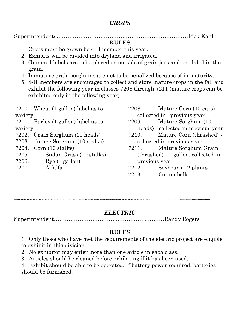# *CROPS*

Superintendents………………………………………………………………Rick Kahl

### **RULES**

- 1. Crops must be grown be 4-H member this year.
- 2. Exhibits will be divided into dryland and irrigated.
- 3. Gummed labels are to be placed on outside of grain jars and one label in the grain.
- 4. Immature grain sorghums are not to be penalized because of immaturity.
- 5. 4-H members are encouraged to collect and store mature crops in the fall and exhibit the following year in classes 7208 through 7211 (mature crops can be exhibited only in the following year).

7200. Wheat (1 gallon) label as to variety

7201. Barley (1 gallon) label as to variety

- 7202. Grain Sorghum (10 heads)
- 7203. Forage Sorghum (10 stalks)
- 7204. Corn (10 stalks)
- 7205. Sudan Grass (10 stalks)
- 7206. Rye (1 gallon)
- 7207. Alfalfa

7208. Mature Corn (10 ears) collected in previous year

- 7209. Mature Sorghum (10 heads) - collected in previous year
- 7210. Mature Corn (thrashed) collected in previous year
- 7211. Mature Sorghum Grain (thrashed) - 1 gallon, collected in previous year
- 7212. Soybeans 2 plants
- 7213. Cotton bolls

~~~~~~~~~~~~~~~~~~~~~~~~~~~~~~~~~~~~~~~~~~~~~~~~~~~~~~~~~~~~~~~~~~

# *ELECTRIC*

Superintendent……………………………..……………..………Randy Rogers

# **RULES**

1. Only those who have met the requirements of the electric project are eligible to exhibit in this division.

- 2. No exhibitor may enter more than one article in each class.
- 3. Articles should be cleaned before exhibiting if it has been used.

4. Exhibit should be able to be operated. If battery power required, batteries should be furnished.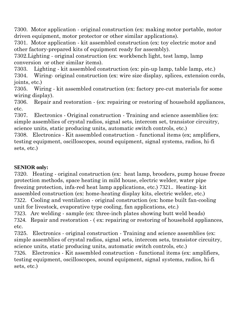7300. Motor application - original construction (ex: making motor portable, motor driven equipment, motor protector or other similar applications).

7301. Motor application - kit assembled construction (ex: toy electric motor and other factory-prepared kits of equipment ready for assembly).

7302.Lighting - original construction (ex: workbench light, test lamp, lamp conversion or other similar items).

7303. Lighting - kit assembled construction (ex: pin-up lamp, table lamp, etc.)

7304. Wiring- original construction (ex: wire size display, splices, extension cords, joints, etc.)

7305. Wiring - kit assembled construction (ex: factory pre-cut materials for some wiring display).

7306. Repair and restoration - (ex: repairing or restoring of household appliances, etc.

7307. Electronics - Original construction - Training and science assemblies (ex: simple assemblies of crystal radios, signal sets, intercom set, transistor circuitry, science units, static producing units, automatic switch controls, etc.)

7308. Electronics - Kit assembled construction - functional items (ex; amplifiers, testing equipment, oscilloscopes, sound equipment, signal systems, radios, hi-fi sets, etc.)

## **SENIOR only:**

7320. Heating - original construction (ex: heat lamp, brooders, pump house freeze protection methods, space heating in mild house, electric welder, water pipe freezing protection, infa-red heat lamp applications, etc.) 7321.. Heating- kit assembled construction (ex: home-heating display kits, electric welder, etc.) 7322. Cooling and ventilation - original construction (ex: home built fan-cooling

unit for livestock, evaporative type cooling, fan applications, etc.)

7323. Arc welding - sample (ex: three-inch plates showing butt weld beads)

7324. Repair and restoration - ( ex: repairing or restoring of household appliances, etc.

7325. Electronics - original construction - Training and science assemblies (ex: simple assemblies of crystal radios, signal sets, intercom sets, transistor circuitry, science units, static producing units, automatic switch controls, etc.)

7326. Electronics - Kit assembled construction - functional items (ex: amplifiers, testing equipment, oscilloscopes, sound equipment, signal systems, radios, hi-fi sets, etc.)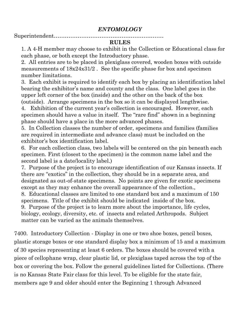Superintendent……………………………………………………

# **RULES**

1. A 4-H member may choose to exhibit in the Collection or Educational class for each phase, or both except the Introductory phase.

2. All entries are to be placed in plexiglass covered, wooden boxes with outside measurements of 18x24x31/2 . See the specific phase for box and specimen number limitations.

3. Each exhibit is required to identify each box by placing an identification label bearing the exhibitor's name and county and the class. One label goes in the upper left corner of the box (inside) and the other on the back of the box

(outside). Arrange specimens in the box so it can be displayed lengthwise. 4. Exhibition of the current year's collection is encouraged. However, each specimen should have a value in itself. The "rare find" shown in a beginning phase should have a place in the more advanced phases.

5. In Collection classes the number of order, specimens and families (families are required in intermediate and advance class) must be included on the exhibitor's box identification label.

6. For each collection class, two labels will be centered on the pin beneath each specimen. First (closest to the specimen) is the common name label and the second label is a date/locality label.)

7. Purpose of the project is to encourage identification of our Kansas insects. If there are "exotics" in the collection, they should be in a separate area, and designated as out-of-state specimens. No points are given for exotic specimens except as they may enhance the overall appearance of the collection.,

8. Educational classes are limited to one standard box and a maximum of 150 specimens. Title of the exhibit should be indicated inside of the box.

9. Purpose of the project is to learn more about the importance, life cycles, biology, ecology, diversity, etc. of insects and related Arthropods. Subject matter can be varied as the animals themselves.

7400. Introductory Collection - Display in one or two shoe boxes, pencil boxes, plastic storage boxes or one standard display box a minimum of 15 and a maximum of 30 species representing at least 6 orders. The boxes should be covered with a piece of cellophane wrap, clear plastic lid, or plexiglass taped across the top of the box or covering the box. Follow the general guidelines listed for Collections. (There is no Kansas State Fair class for this level. To be eligible for the state fair, members age 9 and older should enter the Beginning 1 through Advanced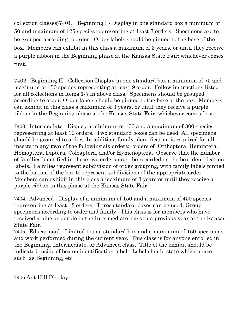collection classes)7401. Beginning I - Display in one standard box a minimum of 50 and maximum of 125 species representing at least 7 orders. Specimens are to be grouped according to order. Order labels should be pinned to the base of the box. Members can exhibit in this class a maximum of 3 years, or until they receive a purple ribbon in the Beginning phase at the Kansas State Fair; whichever comes first.

7402. Beginning II - Collection-Display in one standard box a minimum of 75 and maximum of 150 species representing at least 9 order. Follow instructions listed for all collections in items 1-7 in above class. Specimens should be grouped according to order. Order labels should be pinned to the base of the box. Members can exhibit in this class a maximum of 3 years, or until they receive a purple ribbon in the Beginning phase at the Kansas State Fair; whichever comes first.

7403. Intermediate - Display a minimum of 100 and a maximum of 300 species representing at least 10 orders. Two standard boxes can be used. All specimens should be grouped to order. In addition, family identification is required for all insects in any **two** of the following six orders: orders of Orthoptera, Hemiptera, Homoptera, Diptera, Coleaptera, and/or Hymenoptera. Observe that the number of families identified in these two orders must be recorded on the box identification labels. Families represent subdivision of order grouping, with family labels pinned to the bottom of the box to represent subdivisions of the appropriate order. Members can exhibit in this class a maximum of 3 years or until they receive a purple ribbon in this phase at the Kansas State Fair.

7404. Advanced - Display of a minimum of 150 and a maximum of 450 species representing at least 12 orders. Three standard boxes can be used. Group specimens according to order and family. This class is for members who have received a blue or purple in the Intermediate class in a previous year at the Kansas State Fair.

7405. Educational - Limited to one standard box and a maximum of 150 specimens and work performed during the current year. This class is for anyone enrolled in the Beginning, Intermediate, or Advanced class. Title of the exhibit should be indicated inside of box on identification label. Label should state which phase, such as Beginning, etc

7406.Ant Hill Display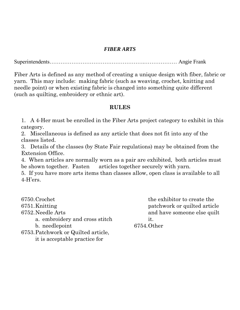#### *FIBER ARTS*

Superintendents…………………………………………….……………… Angie Frank

Fiber Arts is defined as any method of creating a unique design with fiber, fabric or yarn. This may include: making fabric (such as weaving, crochet, knitting and needle point) or when existing fabric is changed into something quite different (such as quilting, embroidery or ethnic art).

#### **RULES**

1. A 4-Her must be enrolled in the Fiber Arts project category to exhibit in this category.

2. Miscellaneous is defined as any article that does not fit into any of the classes listed.

3. Details of the classes (by State Fair regulations) may be obtained from the Extension Office.

4. When articles are normally worn as a pair are exhibited, both articles must be shown together. Fasten articles together securely with yarn.

5. If you have more arts items than classes allow, open class is available to all 4-H'ers.

6750.Crochet 6751.Knitting 6752.Needle Arts a. embroidery and cross stitch b. needlepoint 6753.Patchwork or Quilted article,

it is acceptable practice for

the exhibitor to create the patchwork or quilted article and have someone else quilt it.

6754.Other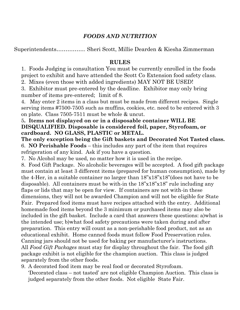## *FOODS AND NUTRITION*

Superintendents……………. Sheri Scott, Millie Dearden & Kiesha Zimmerman

#### **RULES**

1. Foods Judging is consultation You must be currently enrolled in the foods project to exhibit and have attended the Scott Co Extension food safety class.

2. Mixes (even those with added ingredients) MAY NOT BE USED!

3. Exhibitor must pre-entered by the deadline. Exhibitor may only bring number of items pre-entered; limit of 8.

4. May enter 2 items in a class but must be made from different recipes. Single serving items #7500-7505 such as muffins, cookies, etc. need to be entered with 3 on plate. Class 7505-7511 must be whole & uncut.

#### 5**. Items not displayed on or in a disposable container WILL BE DISQUALIFIED. Disposable is considered foil, paper, Styrofoam, or cardboard. NO GLASS, PLASTIC or METAL.**

**The only exception being the Gift baskets and Decorated Not Tasted class.** 6. **NO Perishable Foods** – this includes any part of the item that requires refrigeration of any kind. Ask if you have a question.

7. No Alcohol may be used, no matter how it is used in the recipe.

8. Food Gift Package. No alcoholic beverages will be accepted. A food gift package must contain at least 3 different items (prepared for human consumption), made by the 4-Her, in a suitable container no larger than  $18"x18"x18"$  (does not have to be disposable). All containers must be with-in the  $18"x18"x18"$  rule including any flaps or lids that may be open for view. If containers are not with-in these dimensions, they will not be awarded Champion and will not be eligible for State Fair. Prepared food items must have recipes attached with the entry. Additional homemade food items beyond the 3 minimum or purchased items may also be included in the gift basket. Include a card that answers these questions: a)what is the intended use; b)what food safety precautions were taken during and after preparation. This entry will count as a non-perishable food product, not as an educational exhibit. Home canned foods must follow Food Preservation rules. Canning jars should not be used for baking per manufacturer's instructions. All *Food Gift Packages* must stay for display throughout the fair. The food gift package exhibit is not eligible for the champion auction. This class is judged separately from the other foods.

9. A decorated food item may be real food or decorated Styrofoam. 'Decorated class – not tasted' are not eligible Champion Auction. This class is judged separately from the other foods. Not eligible State Fair.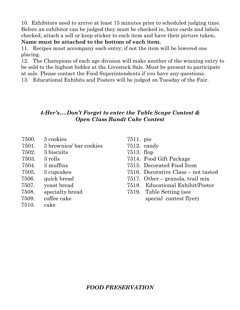10. Exhibitors need to arrive at least 15 minutes prior to scheduled judging time. Before an exhibitor can be judged they must be checked in, have cards and labels checked, attach a sell or keep sticker to each item and have their picture taken**.**

#### **Name must be attached to the bottom of each item.**

11. Recipes must accompany each entry; if not the item will be lowered one placing.

12. The Champions of each age division will make another of the winning entry to be sold to the highest bidder at the Livestock Sale. Must be present to participate at sale. Please contact the Food Superintendents if you have any questions.

13. Educational Exhibits and Posters will be judged on Tuesday of the Fair.

# *4-Her's….Don't Forget to enter the Table Scape Contest & Open Class Bundt Cake Contest*

- 7500. 3 cookies
- 7501. 3 brownies/ bar cookies
- 7502. 3 biscuits
- 7503. 3 rolls
- 7504. 3 muffins
- 7505. 3 cupcakes
- 7506. quick bread
- 7507. yeast bread
- 7508. specialty bread
- 7509. coffee cake
- 7510. cake
- 7511. pie
- 7512. candy
- 7513. flop
- 7514. Food Gift Package
- 7515. Decorated Food Item
- 7516. Decorative Class not tasted
- 7517. Other granola, trail mix
- 7518. Educational Exhibit/Poster
- 7519. Table Setting (see special contest flyer)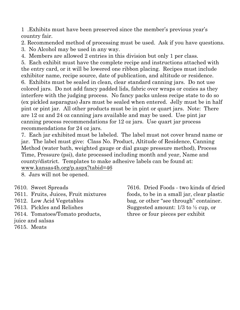1 .Exhibits must have been preserved since the member's previous year's country fair.

2. Recommended method of processing must be used. Ask if you have questions.

3. No Alcohol may be used in any way.

4. Members are allowed 2 entries in this division but only 1 per class.

5. Each exhibit must have the complete recipe and instructions attached with the entry card, or it will be lowered one ribbon placing. Recipes must include exhibitor name, recipe source, date of publication, and altitude or residence. 6. Exhibits must be sealed in clean, clear standard canning jars. Do not use colored jars. Do not add fancy padded lids, fabric over wraps or cozies as they interfere with the judging process. No fancy packs unless recipe state to do so (ex pickled asparagus) Jars must be sealed when entered. Jelly must be in half pint or pint jar. All other products must be in pint or quart jars. Note: There are 12 oz and 24 oz canning jars available and may be used. Use pint jar canning process recommendations for 12 oz jars. Use quart jar process recommendations for 24 oz jars.

7. Each jar exhibited must be labeled. The label must not cover brand name or jar. The label must give: Class No. Product, Altitude of Residence, Canning Method (water bath, weighted gauge or dial gauge pressure method), Process Time, Pressure (psi), date processed including month and year, Name and county/district. Templates to make adhesive labels can be found at:

[www.kansas4h.org/p.aspx?tabid=46](http://www.kansas4h.org/p.aspx?tabid=46)

8. Jars will not be opened.

- 7610. Sweet Spreads
- 7611. Fruits, Juices, Fruit mixtures
- 7612. Low Acid Vegetables
- 7613. Pickles and Relishes
- 7614. Tomatoes/Tomato products,

juice and salsas

7615. Meats

7616. Dried Foods - two kinds of dried foods, to be in a small jar, clear plastic bag, or other "see through" container. Suggested amount: 1/3 to ½ cup, or three or four pieces per exhibit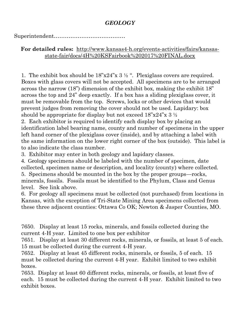# *GEOLOGY*

Superintendent…………………………………

# **For detailed rules:** [http://www.kansas4-h.org/events-activities/fairs/kansas](http://www.kansas4-h.org/events-activities/fairs/kansas-state-fair/docs/4H%20KSFairbook%202017%20FINAL.docx)[state-fair/docs/4H%20KSFairbook%202017%20FINAL.docx](http://www.kansas4-h.org/events-activities/fairs/kansas-state-fair/docs/4H%20KSFairbook%202017%20FINAL.docx)

1. The exhibit box should be  $18"x24"x 3  $\frac{1}{2}$$ . Plexiglass covers are required. Boxes with glass covers will not be accepted. All specimens are to be arranged across the narrow (18") dimension of the exhibit box, making the exhibit 18" across the top and 24" deep exactly. If a box has a sliding plexiglass cover, it must be removable from the top. Screws, locks or other devices that would prevent judges from removing the cover should not be used. Lapidary: box should be appropriate for display but not exceed  $18"x24"x3\frac{1}{2}$ 

2. Each exhibitor is required to identify each display box by placing an identification label bearing name, county and number of specimens in the upper left hand corner of the plexiglass cover (inside), and by attaching a label with the same information on the lower right corner of the box (outside). This label is to also indicate the class number.

3. Exhibitor may enter in both geology and lapidary classes.

4. Geology specimens should be labeled with the number of specimen, date collected, specimen name or description, and locality (county) where collected. 5. Specimens should be mounted in the box by the proper groups—rocks, minerals, fossils. Fossils must be identified to the Phylum, Class and Genus level. See link above.

6. For geology all specimens must be collected (not purchased) from locations in Kansas, with the exception of Tri-State Mining Area specimens collected from these three adjacent counties: Ottawa Co OK; Newton & Jasper Counties, MO.

7650. Display at least 15 rocks, minerals, and fossils collected during the current 4-H year. Limited to one box per exhibitor

7651. Display at least 30 different rocks, minerals, or fossils, at least 5 of each. 15 must be collected during the current 4-H year.

7652. Display at least 45 different rocks, minerals, or fossils, 5 of each. 15 must be collected during the current 4-H year. Exhibit limited to two exhibit boxes.

7653. Display at least 60 different rocks, minerals, or fossils, at least five of each. 15 must be collected during the current 4-H year. Exhibit limited to two exhibit boxes.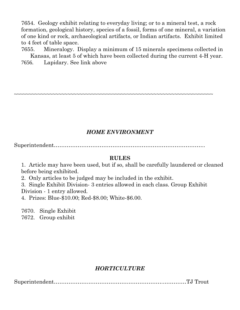7654. Geology exhibit relating to everyday living; or to a mineral test, a rock formation, geological history, species of a fossil, forms of one mineral, a variation of one kind or rock, archaeological artifacts, or Indian artifacts. Exhibit limited to 4 feet of table space.

7655. Mineralogy. Display a minimum of 15 minerals specimens collected in Kansas, at least 5 of which have been collected during the current 4-H year. 7656. Lapidary. See link above

 $~\sim$   $~\sim$   $~\sim$   $~\sim$   $~\sim$   $~\sim$   $~\sim$   $~\sim$   $~\sim$   $~\sim$   $~\sim$   $~\sim$   $~\sim$   $~\sim$   $~\sim$   $~\sim$   $~\sim$   $~\sim$   $~\sim$   $~\sim$   $~\sim$   $~\sim$   $~\sim$   $~\sim$   $~\sim$   $~\sim$   $~\sim$   $~\sim$   $~\sim$   $~\sim$   $~\sim$   $~\sim$   $~\sim$   $~\sim$   $~\sim$   $~\sim$   $~\sim$ 

#### *HOME ENVIRONMENT*

Superintendent………………………………………………………………………..

#### **RULES**

1. Article may have been used, but if so, shall be carefully laundered or cleaned before being exhibited.

2. Only articles to be judged may be included in the exhibit.

3. Single Exhibit Division- 3 entries allowed in each class. Group Exhibit Division - 1 entry allowed.

4. Prizes: Blue-\$10.00; Red-\$8.00; White-\$6.00.

7670. Single Exhibit

7672. Group exhibit

# *HORTICULTURE*

Superintendent……………….………………….………………..…………TJ Trout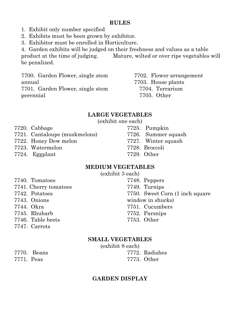#### **RULES**

- 1. Exhibit only number specified
- 2. Exhibits must be been grown by exhibitor.
- 3. Exhibitor must be enrolled in Horticulture.

4. Garden exhibits will be judged on their freshness and values as a table product at the time of judging. Mature, wilted or over ripe vegetables will be penalized.

7700. Garden Flower, single stem annual 7701. Garden Flower, single stem perennial

7702. Flower arrangement 7703. House plants 7704. Terrarium 7705. Other

# **LARGE VEGETABLES**

(exhibit one each)

- 7720. Cabbage
- 7721. Cantaloupe (muskmelons)
- 7722. Honey Dew melon
- 7723. Watermelon
- 7724. Eggplant

# **MEDIUM VEGETABLES**

(exhibit 3 each)

- 7740. Tomatoes
- 7741. Cherry tomatoes
- 7742. Potatoes
- 7743. Onions
- 7744. Okra
- 7745. Rhubarb
- 7746. Table beets
- 7747. Carrots

# **SMALL VEGETABLES**

(exhibit 8 each) 7772. Radishes

7773. Other

# **GARDEN DISPLAY**

7748. Peppers 7749. Turnips 7750. Sweet Corn (1 inch square window in shucks) 7751. Cucumbers 7752. Parsnips 7753. Other

- 7725. Pumpkin
- 7726. Summer squash
- 7727. Winter squash
- 7728. Broccoli
- 7729. Other

- 
- 
- 
- 
- 
- 
- 

7770. Beans 7771. Peas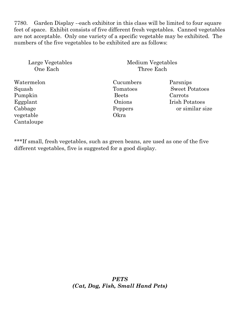7780. Garden Display --each exhibitor in this class will be limited to four square feet of space. Exhibit consists of five different fresh vegetables. Canned vegetables are not acceptable. Only one variety of a specific vegetable may be exhibited. The numbers of the five vegetables to be exhibited are as follows:

| Large Vegetables |
|------------------|
| One Each         |

Medium Vegetables Three Each

Watermelon Cucumbers Parsnips Pumpkin Beets Carrots vegetable Okra Cantaloupe

Squash Tomatoes Sweet Potatoes Eggplant Onions Irish Potatoes Cabbage Peppers or similar size

\*\*\*If small, fresh vegetables, such as green beans, are used as one of the five different vegetables, five is suggested for a good display.

> *PETS (Cat, Dog, Fish, Small Hand Pets)*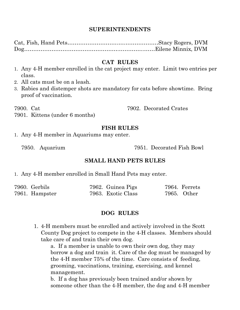#### **SUPERINTENDENTS**

Cat, Fish, Hand Pets……………………….….………………Stacy Rogers, DVM Dog…………………………………………….…………..……Eilene Minnix, DVM

#### **CAT RULES**

- 1. Any 4-H member enrolled in the cat project may enter. Limit two entries per class.
- 2. All cats must be on a leash.
- 3. Rabies and distemper shots are mandatory for cats before showtime. Bring proof of vaccination.

7900. Cat

7902. Decorated Crates

7901. Kittens (under 6 months)

#### **FISH RULES**

1. Any 4-H member in Aquariums may enter.

7950. Aquarium 7951. Decorated Fish Bowl

#### **SMALL HAND PETS RULES**

1. Any 4-H member enrolled in Small Hand Pets may enter.

| 7960. Gerbils  | 7962. Guinea Pigs  | 7964. Ferrets |
|----------------|--------------------|---------------|
| 7961. Hampster | 7963. Exotic Class | 7965. Other   |

#### **DOG RULES**

1. 4-H members must be enrolled and actively involved in the Scott County Dog project to compete in the 4-H classes. Members should take care of and train their own dog.

a. If a member is unable to own their own dog, they may borrow a dog and train it. Care of the dog must be managed by the 4-H member 75% of the time. Care consists of feeding, grooming, vaccinations, training, exercising, and kennel management.

b. If a dog has previously been trained and/or shown by someone other than the 4-H member, the dog and 4-H member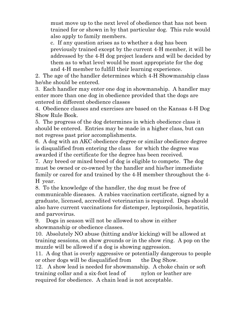must move up to the next level of obedience that has not been trained for or shown in by that particular dog. This rule would also apply to family members.

c. If any question arises as to whether a dog has been previously trained except by the current 4-H member, it will be addressed by the 4-H dog project leaders and will be decided by them as to what level would be most appropriate for the dog and 4-H member to fulfill their learning experience.

2. The age of the handler determines which 4-H Showmanship class he/she should be entered.

3. Each handler may enter one dog in showmanship. A handler may enter more than one dog in obedience provided that the dogs are entered in different obedience classes

4. Obedience classes and exercises are based on the Kansas 4-H Dog Show Rule Book.

5. The progress of the dog determines in which obedience class it should be entered. Entries may be made in a higher class, but can not regress past prior accomplishments.

6. A dog with an AKC obedience degree or similar obedience degree is disqualified from entering the class for which the degree was awarded if the certificate for the degree has been received.

7. Any breed or mixed breed of dog is eligible to compete. The dog must be owned or co-owned by the handler and his/her immediate family or cared for and trained by the 4-H member throughout the 4- H year.

8. To the knowledge of the handler, the dog must be free of communicable diseases. A rabies vaccination certificate, signed by a graduate, licensed, accredited veterinarian is required. Dogs should also have current vaccinations for distemper, leptospilosis, hepatitis, and parvovirus.

9. Dogs in season will not be allowed to show in either showmanship or obedience classes.

10. Absolutely NO abuse (hitting and/or kicking) will be allowed at training sessions, on show grounds or in the show ring. A pop on the muzzle will be allowed if a dog is showing aggression.

11. A dog that is overly aggressive or potentially dangerous to people or other dogs will be disqualified from the Dog Show.

12. A show lead is needed for showmanship. A choke chain or soft training collar and a six-foot lead of nylon or leather are required for obedience. A chain lead is not acceptable.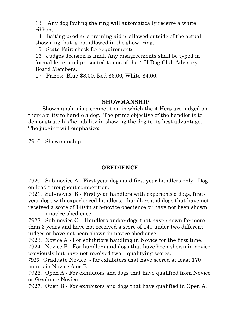13. Any dog fouling the ring will automatically receive a white ribbon.

14. Baiting used as a training aid is allowed outside of the actual show ring, but is not allowed in the show ring.

15. State Fair: check for requirements

16. Judges decision is final. Any disagreements shall be typed in formal letter and presented to one of the 4-H Dog Club Advisory Board Members.

17. Prizes: Blue-\$8.00, Red-\$6.00, White-\$4.00.

#### **SHOWMANSHIP**

Showmanship is a competition in which the 4-Hers are judged on their ability to handle a dog. The prime objective of the handler is to demonstrate his/her ability in showing the dog to its best advantage. The judging will emphasize:

7910. Showmanship

## **OBEDIENCE**

7920. Sub-novice A - First year dogs and first year handlers only. Dog on lead throughout competition.

7921. Sub-novice B - First year handlers with experienced dogs, firstyear dogs with experienced handlers, handlers and dogs that have not received a score of 140 in sub-novice obedience or have not been shown

in novice obedience.

7922. Sub-novice C – Handlers and/or dogs that have shown for more than 3 years and have not received a score of 140 under two different judges or have not been shown in novice obedience.

7923. Novice A - For exhibitors handling in Novice for the first time.

7924. Novice B - For handlers and dogs that have been shown in novice previously but have not received two qualifying scores.

7925. Graduate Novice - for exhibitors that have scored at least 170 points in Novice A or B

7926. Open A - For exhibitors and dogs that have qualified from Novice or Graduate Novice.

7927. Open B - For exhibitors and dogs that have qualified in Open A.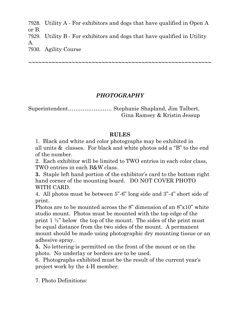7928. Utility A - For exhibitors and dogs that have qualified in Open A or B. 7929. Utility B - For exhibitors and dogs that have qualified in Utility A.

7930. Agility Course

# *PHOTOGRAPHY*

*~~~~~~~~~~~~~~~~~~~~~~~~~~~~~~~~~~~~~~~~~~~~~~~~~~~~~~~*

Superintendent…………………… Stephanie Shapland, Jim Talbert, Gina Ramsey & Kristin Jessup

# **RULES**

1. Black and white and color photographs may be exhibited in all units & classes. For black and white photos add a "B" to the end of the number.

2. Each exhibitor will be limited to TWO entries in each color class, TWO entries in each B&W class.

**3.** Staple left hand portion of the exhibitor's card to the bottom right hand corner of the mounting board. DO NOT COVER PHOTO WITH CARD.

4. All photos must be between 5"-6" long side and 3"-4" short side of print.

Photos are to be mounted across the 8" dimension of an 8"x10" white studio mount. Photos must be mounted with the top edge of the print  $1 \frac{1}{2}$ " below the top of the mount. The sides of the print must be equal distance from the two sides of the mount. A permanent mount should be made using photographic dry mounting tissue or an adhesive spray.

**5.** No lettering is permitted on the front of the mount or on the photo. No underlay or borders are to be used.

6. Photographs exhibited must be the result of the current year's project work by the 4-H member.

7. Photo Definitions: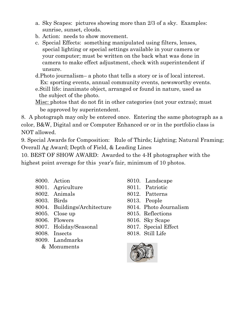- a. Sky Scapes: pictures showing more than 2/3 of a sky. Examples: sunrise, sunset, clouds.
- b. Action: needs to show movement.
- c. Special Effects: something manipulated using filters, lenses, special lighting or special settings available in your camera or your computer; must be written on the back what was done in camera to make effect adjustment, check with superintendent if unsure.
- d.Photo journalism– a photo that tells a story or is of local interest. Ex: sporting events, annual community events, newsworthy events.
- e.Still life: inanimate object, arranged or found in nature, used as the subject of the photo.

Misc: photos that do not fit in other categories (not your extras); must be approved by superintendent.

8. A photograph may only be entered once. Entering the same photograph as a color, B&W, Digital and or Computer Enhanced or or in the portfolio class is NOT allowed.

9. Special Awards for Composition: Rule of Thirds; Lighting; Natural Framing; Overall Ag Award; Depth of Field, & Leading Lines

10. BEST OF SHOW AWARD: Awarded to the 4-H photographer with the highest point average for this year's fair, minimum of 10 photos.

- 8000. Action
- 8001. Agriculture
- 8002. Animals
- 8003. Birds
- 8004. Buildings/Architecture
- 8005. Close up
- 8006. Flowers
- 8007. Holiday/Seasonal
- 8008. Insects
- 8009. Landmarks
	- & Monuments
- 8010. Landscape
- 8011. Patriotic
- 8012. Patterns
- 8013. People
- 8014. Photo Journalism
- 8015. Reflections
- 8016. Sky Scape
- 8017. Special Effect
- 8018. Still Life

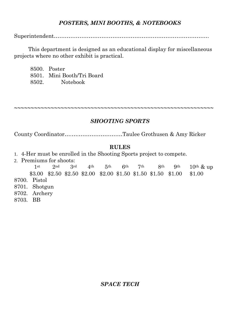# *POSTERS, MINI BOOTHS, & NOTEBOOKS*

Superintendent………………………………………………………………………….

This department is designed as an educational display for miscellaneous projects where no other exhibit is practical.

8500. Poster 8501. Mini Booth/Tri Board 8502. Notebook

# *SHOOTING SPORTS*

**~~~~~~~~~~~~~~~~~~~~~~~~~~~~~~~~~~~~~~~~~~~~~~~~~~~~~~~~~~~~**

County Coordinator….….……………………Taulee Grothusen & Amy Ricker

#### **RULES**

- 1. 4-Her must be enrolled in the Shooting Sports project to compete.
- 2. Premiums for shoots:

 1st 2nd 3rd 4th 5th 6th 7th 8th 9th 10th & up \$3.00 \$2.50 \$2.50 \$2.00 \$2.00 \$1.50 \$1.50 \$1.50 \$1.00 \$1.00 8700. Pistol 8701. Shotgun 8702. Archery

8703. BB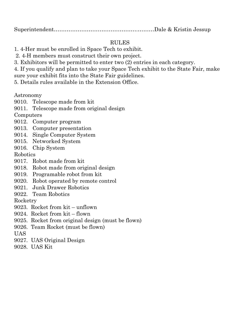# RULES

- 1. 4-Her must be enrolled in Space Tech to exhibit.
- 2. 4-H members must construct their own project.
- 3. Exhibitors will be permitted to enter two (2) entries in each category.
- 4. If you qualify and plan to take your Space Tech exhibit to the State Fair, make sure your exhibit fits into the State Fair guidelines.
- 5. Details rules available in the Extension Office.

Astronomy

- 9010. Telescope made from kit
- 9011. Telescope made from original design

Computers

- 9012. Computer program
- 9013. Computer presentation
- 9014. Single Computer System
- 9015. Networked System
- 9016. Chip System

Robotics

- 9017. Robot made from kit
- 9018. Robot made from original design
- 9019. Programable robot from kit
- 9020. Robot operated by remote control
- 9021. Junk Drawer Robotics
- 9022. Team Robotics

Rocketry

- 9023. Rocket from kit unflown
- 9024. Rocket from kit flown
- 9025. Rocket from original design (must be flown)
- 9026. Team Rocket (must be flown)

UAS

- 9027. UAS Original Design
- 9028. UAS Kit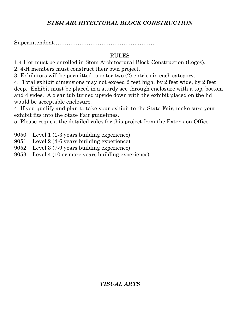# *STEM ARCHITECTURAL BLOCK CONSTRUCTION*

Superintendent……………………………………….………

# RULES

1.4-Her must be enrolled in Stem Architectural Block Construction (Legos).

2. 4-H members must construct their own project.

3. Exhibitors will be permitted to enter two (2) entries in each category.

4. Total exhibit dimensions may not exceed 2 feet high, by 2 feet wide, by 2 feet deep. Exhibit must be placed in a sturdy see through enclosure with a top, bottom and 4 sides. A clear tub turned upside down with the exhibit placed on the lid would be acceptable enclosure.

4. If you qualify and plan to take your exhibit to the State Fair, make sure your exhibit fits into the State Fair guidelines.

5. Please request the detailed rules for this project from the Extension Office.

- 9050. Level 1 (1-3 years building experience)
- 9051. Level 2 (4-6 years building experience)
- 9052. Level 3 (7-9 years building experience)
- 9053. Level 4 (10 or more years building experience)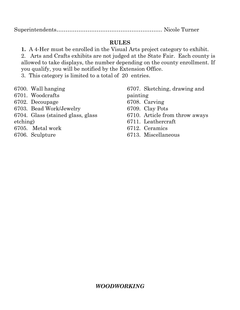# **RULES**

**1.** A 4-Her must be enrolled in the Visual Arts project category to exhibit. 2. Arts and Crafts exhibits are not judged at the State Fair. Each county is allowed to take displays, the number depending on the county enrollment. If you qualify, you will be notified by the Extension Office.

3. This category is limited to a total of 20 entries.

- 6700. Wall hanging
- 6701. Woodcrafts
- 6702. Decoupage
- 6703. Bead Work/Jewelry
- 6704. Glass (stained glass, glass

etching)

- 6705. Metal work
- 6706. Sculpture

6707. Sketching, drawing and

painting

- 6708. Carving
- 6709. Clay Pots
- 6710. Article from throw aways
- 6711. Leathercraft
- 6712. Ceramics
- 6713. Miscellaneous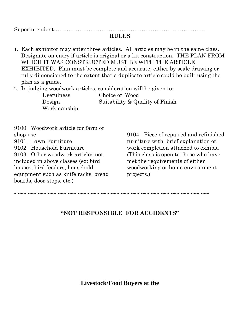Superintendent………………………………………………………….…………….

#### **RULES**

1. Each exhibitor may enter three articles. All articles may be in the same class. Designate on entry if article is original or a kit construction. THE PLAN FROM WHICH IT WAS CONSTRUCTED MUST BE WITH THE ARTICLE EXHIBITED. Plan must be complete and accurate, either by scale drawing or fully dimensioned to the extent that a duplicate article could be built using the plan as a guide.

2. In judging woodwork articles, consideration will be given to:

Usefulness Choice of Wood Design Suitability & Quality of Finish Workmanship

9100. Woodwork article for farm or shop use 9101. Lawn Furniture 9102. Household Furniture 9103. Other woodwork articles not included in above classes (ex: bird houses, bird feeders, household equipment such as knife racks, bread boards, door stops, etc.) 9104. Piece of repaired and refinished furniture with brief explanation of work completion attached to exhibit. (This class is open to those who have met the requirements of either woodworking or home environment projects.)

**~~~~~~~~~~~~~~~~~~~~~~~~~~~~~~~~~~~~~~~~~~~~~~~~~~~~~~~~~~~**

## **"NOT RESPONSIBLE FOR ACCIDENTS"**